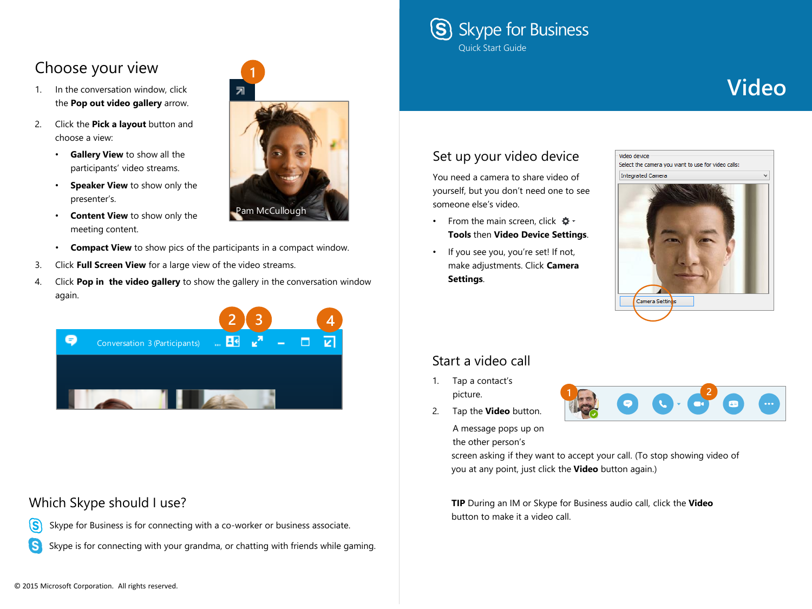## Choose your view

- 1. In the conversation window, click the **Pop out video gallery** arrow.
- 2. Click the **Pick a layout** button and choose a view:
	- **Gallery View** to show all the participants' video streams.
	- **Speaker View** to show only the presenter's.
	- **Content View** to show only the meeting content.
	- **Compact View** to show pics of the participants in a compact window.
- 3. Click **Full Screen View** for a large view of the video streams.
- 4. Click **Pop in the video gallery** to show the gallery in the conversation window again.



#### Which Skype should I use?

 $\mathbf{\widehat{S}}$ Skype for Business is for connecting with a co-worker or business associate.

S Skype is for connecting with your grandma, or chatting with friends while gaming.



## S) Skype for Business Quick Start Guide

# **Video**

#### Set up your video device

You need a camera to share video of yourself, but you don't need one to see someone else's video.

- From the main screen, click  $\ddot{\Phi}$ **Tools** then **Video Device Settings**.
- If you see you, you're set! If not, make adjustments. Click **Camera Settings**.



#### Start a video call

- 1. Tap a contact's picture.
- 2. Tap the **Video** button.

A message pops up on the other person's



screen asking if they want to accept your call. (To stop showing video of you at any point, just click the **Video** button again.)

**TIP** During an IM or Skype for Business audio call, click the **Video**  button to make it a video call.